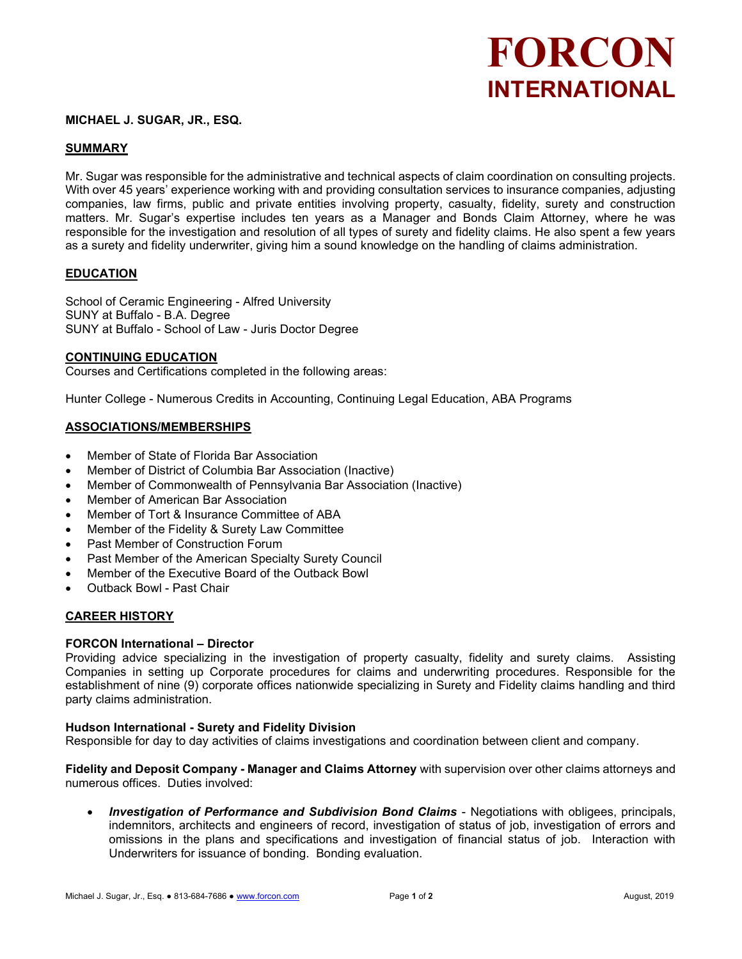# FORCON INTERNATIONAL

## MICHAEL J. SUGAR, JR., ESQ.

# SUMMARY

Mr. Sugar was responsible for the administrative and technical aspects of claim coordination on consulting projects. With over 45 years' experience working with and providing consultation services to insurance companies, adjusting companies, law firms, public and private entities involving property, casualty, fidelity, surety and construction matters. Mr. Sugar's expertise includes ten years as a Manager and Bonds Claim Attorney, where he was responsible for the investigation and resolution of all types of surety and fidelity claims. He also spent a few years as a surety and fidelity underwriter, giving him a sound knowledge on the handling of claims administration.

## EDUCATION

School of Ceramic Engineering - Alfred University SUNY at Buffalo - B.A. Degree SUNY at Buffalo - School of Law - Juris Doctor Degree

#### CONTINUING EDUCATION

Courses and Certifications completed in the following areas:

Hunter College - Numerous Credits in Accounting, Continuing Legal Education, ABA Programs

## ASSOCIATIONS/MEMBERSHIPS

- Member of State of Florida Bar Association
- Member of District of Columbia Bar Association (Inactive)
- Member of Commonwealth of Pennsylvania Bar Association (Inactive)
- Member of American Bar Association
- Member of Tort & Insurance Committee of ABA
- Member of the Fidelity & Surety Law Committee
- Past Member of Construction Forum
- Past Member of the American Specialty Surety Council
- Member of the Executive Board of the Outback Bowl
- Outback Bowl Past Chair

## CAREER HISTORY

#### FORCON International – Director

Providing advice specializing in the investigation of property casualty, fidelity and surety claims. Assisting Companies in setting up Corporate procedures for claims and underwriting procedures. Responsible for the establishment of nine (9) corporate offices nationwide specializing in Surety and Fidelity claims handling and third party claims administration.

## Hudson International - Surety and Fidelity Division

Responsible for day to day activities of claims investigations and coordination between client and company.

Fidelity and Deposit Company - Manager and Claims Attorney with supervision over other claims attorneys and numerous offices. Duties involved:

 Investigation of Performance and Subdivision Bond Claims - Negotiations with obligees, principals, indemnitors, architects and engineers of record, investigation of status of job, investigation of errors and omissions in the plans and specifications and investigation of financial status of job. Interaction with Underwriters for issuance of bonding. Bonding evaluation.